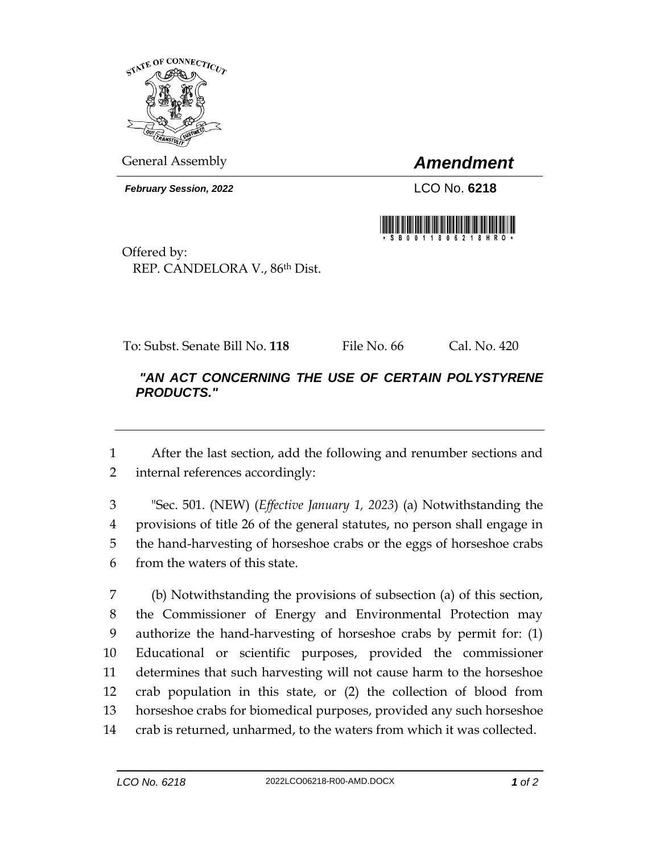

General Assembly *Amendment*

*February Session, 2022* LCO No. **6218**



Offered by: REP. CANDELORA V., 86th Dist.

To: Subst. Senate Bill No. **118** File No. 66 Cal. No. 420

## *"AN ACT CONCERNING THE USE OF CERTAIN POLYSTYRENE PRODUCTS."*

 After the last section, add the following and renumber sections and internal references accordingly:

 "Sec. 501. (NEW) (*Effective January 1, 2023*) (a) Notwithstanding the provisions of title 26 of the general statutes, no person shall engage in the hand-harvesting of horseshoe crabs or the eggs of horseshoe crabs from the waters of this state.

 (b) Notwithstanding the provisions of subsection (a) of this section, the Commissioner of Energy and Environmental Protection may authorize the hand-harvesting of horseshoe crabs by permit for: (1) Educational or scientific purposes, provided the commissioner determines that such harvesting will not cause harm to the horseshoe crab population in this state, or (2) the collection of blood from horseshoe crabs for biomedical purposes, provided any such horseshoe crab is returned, unharmed, to the waters from which it was collected.